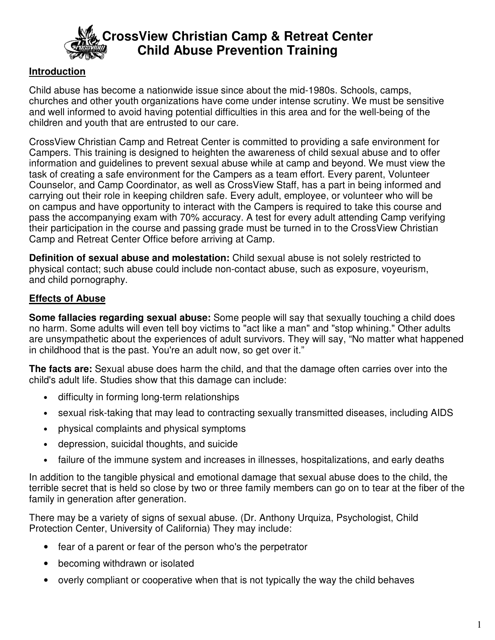

# **CrossView Christian Camp & Retreat Center Child Abuse Prevention Training**

### **Introduction**

Child abuse has become a nationwide issue since about the mid-1980s. Schools, camps, churches and other youth organizations have come under intense scrutiny. We must be sensitive and well informed to avoid having potential difficulties in this area and for the well-being of the children and youth that are entrusted to our care.

CrossView Christian Camp and Retreat Center is committed to providing a safe environment for Campers. This training is designed to heighten the awareness of child sexual abuse and to offer information and guidelines to prevent sexual abuse while at camp and beyond. We must view the task of creating a safe environment for the Campers as a team effort. Every parent, Volunteer Counselor, and Camp Coordinator, as well as CrossView Staff, has a part in being informed and carrying out their role in keeping children safe. Every adult, employee, or volunteer who will be on campus and have opportunity to interact with the Campers is required to take this course and pass the accompanying exam with 70% accuracy. A test for every adult attending Camp verifying their participation in the course and passing grade must be turned in to the CrossView Christian Camp and Retreat Center Office before arriving at Camp.

**Definition of sexual abuse and molestation:** Child sexual abuse is not solely restricted to physical contact; such abuse could include non-contact abuse, such as exposure, voyeurism, and child pornography.

#### **Effects of Abuse**

**Some fallacies regarding sexual abuse:** Some people will say that sexually touching a child does no harm. Some adults will even tell boy victims to "act like a man" and "stop whining." Other adults are unsympathetic about the experiences of adult survivors. They will say, "No matter what happened in childhood that is the past. You're an adult now, so get over it."

**The facts are:** Sexual abuse does harm the child, and that the damage often carries over into the child's adult life. Studies show that this damage can include:

- difficulty in forming long-term relationships
- sexual risk-taking that may lead to contracting sexually transmitted diseases, including AIDS
- physical complaints and physical symptoms
- depression, suicidal thoughts, and suicide
- failure of the immune system and increases in illnesses, hospitalizations, and early deaths

In addition to the tangible physical and emotional damage that sexual abuse does to the child, the terrible secret that is held so close by two or three family members can go on to tear at the fiber of the family in generation after generation.

There may be a variety of signs of sexual abuse. (Dr. Anthony Urquiza, Psychologist, Child Protection Center, University of California) They may include:

- fear of a parent or fear of the person who's the perpetrator
- becoming withdrawn or isolated
- overly compliant or cooperative when that is not typically the way the child behaves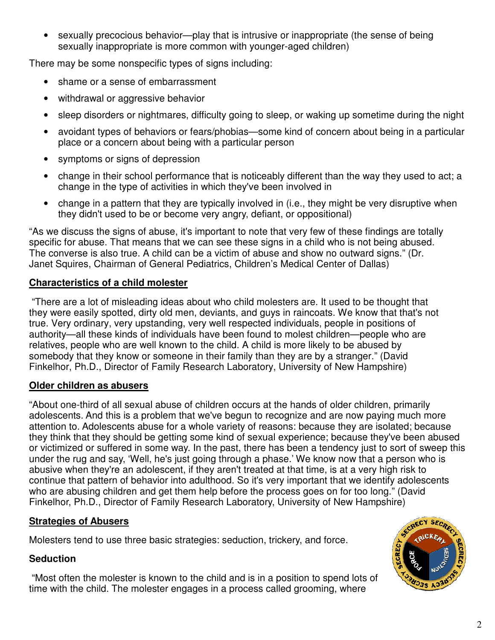sexually precocious behavior—play that is intrusive or inappropriate (the sense of being sexually inappropriate is more common with younger-aged children)

There may be some nonspecific types of signs including:

- shame or a sense of embarrassment
- withdrawal or aggressive behavior
- sleep disorders or nightmares, difficulty going to sleep, or waking up sometime during the night
- avoidant types of behaviors or fears/phobias—some kind of concern about being in a particular place or a concern about being with a particular person
- symptoms or signs of depression
- change in their school performance that is noticeably different than the way they used to act; a change in the type of activities in which they've been involved in
- change in a pattern that they are typically involved in (i.e., they might be very disruptive when they didn't used to be or become very angry, defiant, or oppositional)

"As we discuss the signs of abuse, it's important to note that very few of these findings are totally specific for abuse. That means that we can see these signs in a child who is not being abused. The converse is also true. A child can be a victim of abuse and show no outward signs." (Dr. Janet Squires, Chairman of General Pediatrics, Children's Medical Center of Dallas)

## **Characteristics of a child molester**

 "There are a lot of misleading ideas about who child molesters are. It used to be thought that they were easily spotted, dirty old men, deviants, and guys in raincoats. We know that that's not true. Very ordinary, very upstanding, very well respected individuals, people in positions of authority—all these kinds of individuals have been found to molest children—people who are relatives, people who are well known to the child. A child is more likely to be abused by somebody that they know or someone in their family than they are by a stranger." (David Finkelhor, Ph.D., Director of Family Research Laboratory, University of New Hampshire)

## **Older children as abusers**

"About one-third of all sexual abuse of children occurs at the hands of older children, primarily adolescents. And this is a problem that we've begun to recognize and are now paying much more attention to. Adolescents abuse for a whole variety of reasons: because they are isolated; because they think that they should be getting some kind of sexual experience; because they've been abused or victimized or suffered in some way. In the past, there has been a tendency just to sort of sweep this under the rug and say, 'Well, he's just going through a phase.' We know now that a person who is abusive when they're an adolescent, if they aren't treated at that time, is at a very high risk to continue that pattern of behavior into adulthood. So it's very important that we identify adolescents who are abusing children and get them help before the process goes on for too long." (David Finkelhor, Ph.D., Director of Family Research Laboratory, University of New Hampshire)

## **Strategies of Abusers**

Molesters tend to use three basic strategies: seduction, trickery, and force.

## **Seduction**

 "Most often the molester is known to the child and is in a position to spend lots of time with the child. The molester engages in a process called grooming, where

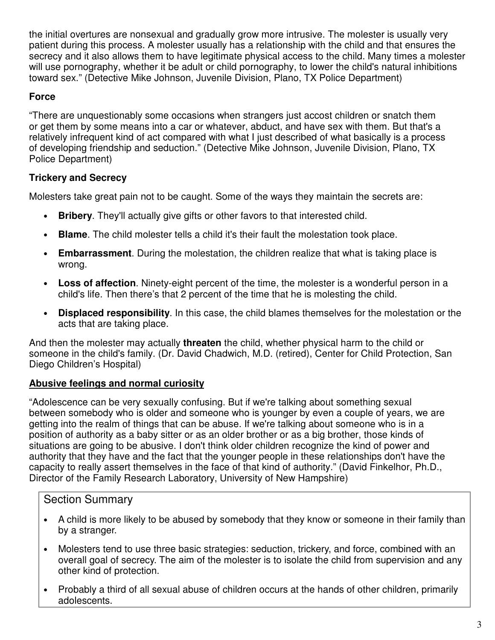the initial overtures are nonsexual and gradually grow more intrusive. The molester is usually very patient during this process. A molester usually has a relationship with the child and that ensures the secrecy and it also allows them to have legitimate physical access to the child. Many times a molester will use pornography, whether it be adult or child pornography, to lower the child's natural inhibitions toward sex." (Detective Mike Johnson, Juvenile Division, Plano, TX Police Department)

### **Force**

"There are unquestionably some occasions when strangers just accost children or snatch them or get them by some means into a car or whatever, abduct, and have sex with them. But that's a relatively infrequent kind of act compared with what I just described of what basically is a process of developing friendship and seduction." (Detective Mike Johnson, Juvenile Division, Plano, TX Police Department)

#### **Trickery and Secrecy**

Molesters take great pain not to be caught. Some of the ways they maintain the secrets are:

- **Bribery**. They'll actually give gifts or other favors to that interested child.
- **Blame**. The child molester tells a child it's their fault the molestation took place.
- **Embarrassment**. During the molestation, the children realize that what is taking place is wrong.
- **Loss of affection**. Ninety-eight percent of the time, the molester is a wonderful person in a child's life. Then there's that 2 percent of the time that he is molesting the child.
- **Displaced responsibility**. In this case, the child blames themselves for the molestation or the acts that are taking place.

And then the molester may actually **threaten** the child, whether physical harm to the child or someone in the child's family. (Dr. David Chadwich, M.D. (retired), Center for Child Protection, San Diego Children's Hospital)

## **Abusive feelings and normal curiosity**

"Adolescence can be very sexually confusing. But if we're talking about something sexual between somebody who is older and someone who is younger by even a couple of years, we are getting into the realm of things that can be abuse. If we're talking about someone who is in a position of authority as a baby sitter or as an older brother or as a big brother, those kinds of situations are going to be abusive. I don't think older children recognize the kind of power and authority that they have and the fact that the younger people in these relationships don't have the capacity to really assert themselves in the face of that kind of authority." (David Finkelhor, Ph.D., Director of the Family Research Laboratory, University of New Hampshire)

## Section Summary

- A child is more likely to be abused by somebody that they know or someone in their family than by a stranger.
- Molesters tend to use three basic strategies: seduction, trickery, and force, combined with an overall goal of secrecy. The aim of the molester is to isolate the child from supervision and any other kind of protection.
- Probably a third of all sexual abuse of children occurs at the hands of other children, primarily adolescents.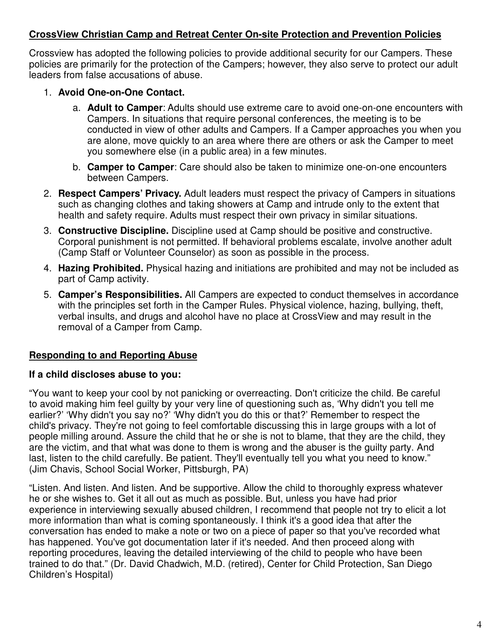#### **CrossView Christian Camp and Retreat Center On-site Protection and Prevention Policies**

Crossview has adopted the following policies to provide additional security for our Campers. These policies are primarily for the protection of the Campers; however, they also serve to protect our adult leaders from false accusations of abuse.

#### 1. **Avoid One-on-One Contact.**

- a. **Adult to Camper**: Adults should use extreme care to avoid one-on-one encounters with Campers. In situations that require personal conferences, the meeting is to be conducted in view of other adults and Campers. If a Camper approaches you when you are alone, move quickly to an area where there are others or ask the Camper to meet you somewhere else (in a public area) in a few minutes.
- b. **Camper to Camper**: Care should also be taken to minimize one-on-one encounters between Campers.
- 2. **Respect Campers' Privacy.** Adult leaders must respect the privacy of Campers in situations such as changing clothes and taking showers at Camp and intrude only to the extent that health and safety require. Adults must respect their own privacy in similar situations.
- 3. **Constructive Discipline.** Discipline used at Camp should be positive and constructive. Corporal punishment is not permitted. If behavioral problems escalate, involve another adult (Camp Staff or Volunteer Counselor) as soon as possible in the process.
- 4. **Hazing Prohibited.** Physical hazing and initiations are prohibited and may not be included as part of Camp activity.
- 5. **Camper's Responsibilities.** All Campers are expected to conduct themselves in accordance with the principles set forth in the Camper Rules. Physical violence, hazing, bullying, theft, verbal insults, and drugs and alcohol have no place at CrossView and may result in the removal of a Camper from Camp.

#### **Responding to and Reporting Abuse**

#### **If a child discloses abuse to you:**

"You want to keep your cool by not panicking or overreacting. Don't criticize the child. Be careful to avoid making him feel guilty by your very line of questioning such as, 'Why didn't you tell me earlier?' 'Why didn't you say no?' 'Why didn't you do this or that?' Remember to respect the child's privacy. They're not going to feel comfortable discussing this in large groups with a lot of people milling around. Assure the child that he or she is not to blame, that they are the child, they are the victim, and that what was done to them is wrong and the abuser is the guilty party. And last, listen to the child carefully. Be patient. They'll eventually tell you what you need to know." (Jim Chavis, School Social Worker, Pittsburgh, PA)

"Listen. And listen. And listen. And be supportive. Allow the child to thoroughly express whatever he or she wishes to. Get it all out as much as possible. But, unless you have had prior experience in interviewing sexually abused children, I recommend that people not try to elicit a lot more information than what is coming spontaneously. I think it's a good idea that after the conversation has ended to make a note or two on a piece of paper so that you've recorded what has happened. You've got documentation later if it's needed. And then proceed along with reporting procedures, leaving the detailed interviewing of the child to people who have been trained to do that." (Dr. David Chadwich, M.D. (retired), Center for Child Protection, San Diego Children's Hospital)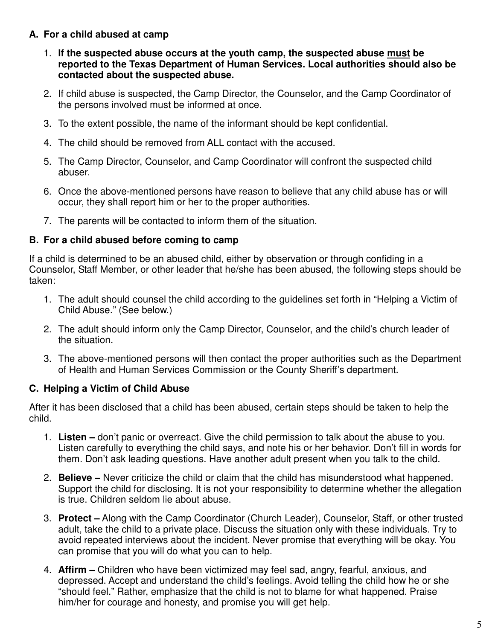### **A. For a child abused at camp**

- 1. **If the suspected abuse occurs at the youth camp, the suspected abuse must be reported to the Texas Department of Human Services. Local authorities should also be contacted about the suspected abuse.**
- 2. If child abuse is suspected, the Camp Director, the Counselor, and the Camp Coordinator of the persons involved must be informed at once.
- 3. To the extent possible, the name of the informant should be kept confidential.
- 4. The child should be removed from ALL contact with the accused.
- 5. The Camp Director, Counselor, and Camp Coordinator will confront the suspected child abuser.
- 6. Once the above-mentioned persons have reason to believe that any child abuse has or will occur, they shall report him or her to the proper authorities.
- 7. The parents will be contacted to inform them of the situation.

#### **B. For a child abused before coming to camp**

If a child is determined to be an abused child, either by observation or through confiding in a Counselor, Staff Member, or other leader that he/she has been abused, the following steps should be taken:

- 1. The adult should counsel the child according to the guidelines set forth in "Helping a Victim of Child Abuse." (See below.)
- 2. The adult should inform only the Camp Director, Counselor, and the child's church leader of the situation.
- 3. The above-mentioned persons will then contact the proper authorities such as the Department of Health and Human Services Commission or the County Sheriff's department.

#### **C. Helping a Victim of Child Abuse**

After it has been disclosed that a child has been abused, certain steps should be taken to help the child.

- 1. **Listen** don't panic or overreact. Give the child permission to talk about the abuse to you. Listen carefully to everything the child says, and note his or her behavior. Don't fill in words for them. Don't ask leading questions. Have another adult present when you talk to the child.
- 2. **Believe –** Never criticize the child or claim that the child has misunderstood what happened. Support the child for disclosing. It is not your responsibility to determine whether the allegation is true. Children seldom lie about abuse.
- 3. **Protect –** Along with the Camp Coordinator (Church Leader), Counselor, Staff, or other trusted adult, take the child to a private place. Discuss the situation only with these individuals. Try to avoid repeated interviews about the incident. Never promise that everything will be okay. You can promise that you will do what you can to help.
- 4. **Affirm –** Children who have been victimized may feel sad, angry, fearful, anxious, and depressed. Accept and understand the child's feelings. Avoid telling the child how he or she "should feel." Rather, emphasize that the child is not to blame for what happened. Praise him/her for courage and honesty, and promise you will get help.